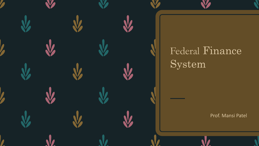### Federal Finance System

Prof. Mansi Patel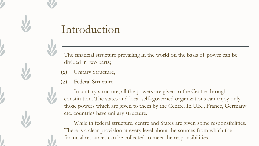#### Introduction

The financial structure prevailing in the world on the basis of power can be divided in two parts;

- Unitary Structure,  $(1)$
- Federal Structure  $(2)$

In unitary structure, all the powers are given to the Centre through constitution. The states and local self–governed organizations can enjoy only those powers which are given to them by the Centre. In U.K., France, Germany etc. countries have unitary structure.

While in federal structure, centre and States are given some responsibilities. There is a clear provision at every level about the sources from which the financial resources can be collected to meet the responsibilities.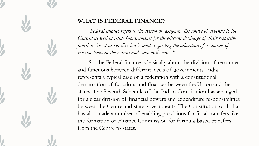

#### **WHAT IS FEDERAL FINANCE?**

"*Federal finance refers to the system of assigning the source of revenue to the Central as well as State Governments for the efficient discharge of their respective*  functions *i.e. clear-cut division is made regarding the allocation of resources of revenue between the central and state authorities."*

 So, the Federal finance is basically about the division of resources and functions between different levels of governments. India represents a typical case of a federation with a constitutional demarcation of functions and finances between the Union and the states. The Seventh Schedule of the Indian Constitution has arranged for a clear division of financial powers and expenditure responsibilities between the Centre and state governments. The Constitution of India has also made a number of enabling provisions for fiscal transfers like the formation of Finance Commission for formula-based transfers from the Centre to states.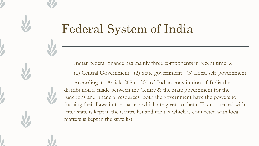#### **Federal System of India**

Indian federal finance has mainly three components in recent time i.e. (1) Central Government (2) State government (3) Local self government According to Article 268 to 300 of Indian constitution of India the distribution is made between the Centre & the State government for the functions and financial resources. Both the government have the powers to framing their Laws in the matters which are given to them. Tax connected with Inter state is kept in the Centre list and the tax which is connected with local matters is kept in the state list.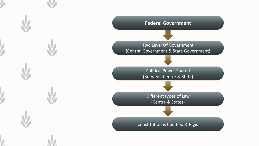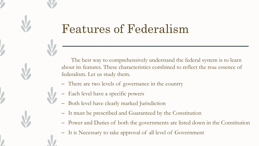### **Features of Federalism**

The best way to comprehensively understand the federal system is to learn about its features. These characteristics combined to reflect the true essence of federalism. Let us study them.

- There are two levels of governance in the country
- Each level have a specific powers
- Both level have clearly marked Jurisdiction
- It must be prescribed and Guaranteed by the Constitution
- Power and Duties of both the governments are listed down in the Constitution
- It is Necessary to take approval of all level of Government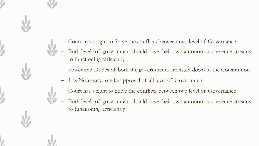- Court has a right to Solve the conflicts between two level of Governance
- Both levels of government should have their own autonomous revenue streams to functioning efficiently
- Power and Duties of both the governments are listed down in the Constitution
- It is Necessary to take approval of all level of Government  $\overline{\phantom{a}}$
- Court has a right to Solve the conflicts between two level of Governance
- Both levels of government should have their own autonomous revenue streams to functioning efficiently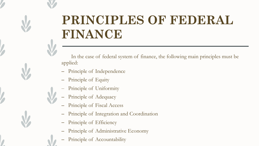## PRINCIPLES OF FEDERAL FINANCE

In the case of federal system of finance, the following main principles must be applied:

- Principle of Independence
- Principle of Equity
- Principle of Uniformity
- Principle of Adequacy
- Principle of Fiscal Access
- Principle of Integration and Coordination
- Principle of Efficiency
- Principle of Administrative Economy
- Principle of Accountability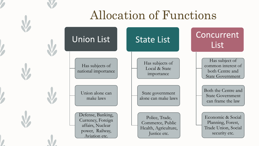